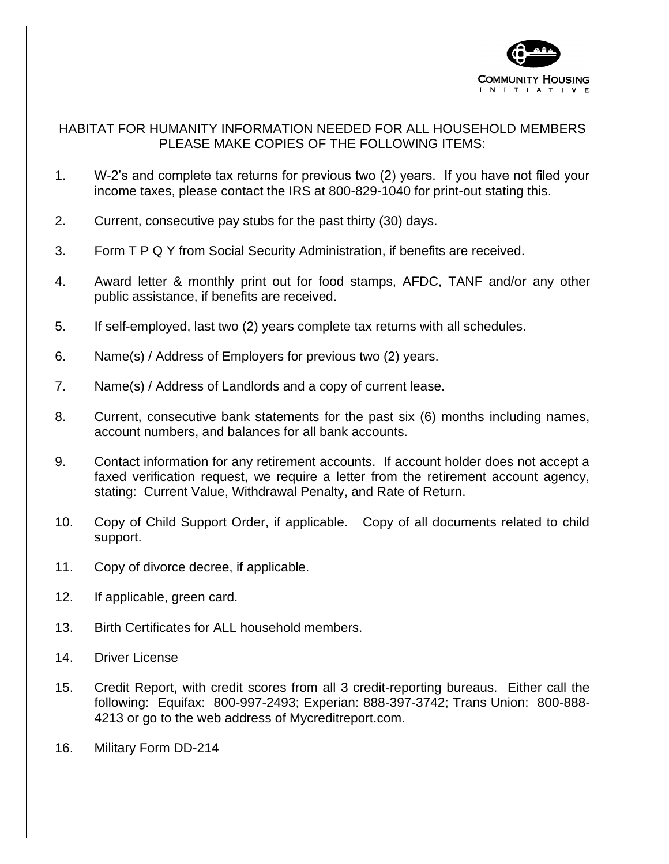

## HABITAT FOR HUMANITY INFORMATION NEEDED FOR ALL HOUSEHOLD MEMBERS PLEASE MAKE COPIES OF THE FOLLOWING ITEMS:

- 1. W-2's and complete tax returns for previous two (2) years. If you have not filed your income taxes, please contact the IRS at 800-829-1040 for print-out stating this.
- 2. Current, consecutive pay stubs for the past thirty (30) days.
- 3. Form T P Q Y from Social Security Administration, if benefits are received.
- 4. Award letter & monthly print out for food stamps, AFDC, TANF and/or any other public assistance, if benefits are received.
- 5. If self-employed, last two (2) years complete tax returns with all schedules.
- 6. Name(s) / Address of Employers for previous two (2) years.
- 7. Name(s) / Address of Landlords and a copy of current lease.
- 8. Current, consecutive bank statements for the past six (6) months including names, account numbers, and balances for all bank accounts.
- 9. Contact information for any retirement accounts. If account holder does not accept a faxed verification request, we require a letter from the retirement account agency, stating: Current Value, Withdrawal Penalty, and Rate of Return.
- 10. Copy of Child Support Order, if applicable. Copy of all documents related to child support.
- 11. Copy of divorce decree, if applicable.
- 12. If applicable, green card.
- 13. Birth Certificates for ALL household members.
- 14. Driver License
- 15. Credit Report, with credit scores from all 3 credit-reporting bureaus. Either call the following: Equifax: 800-997-2493; Experian: 888-397-3742; Trans Union: 800-888- 4213 or go to the web address of Mycreditreport.com.
- 16. Military Form DD-214